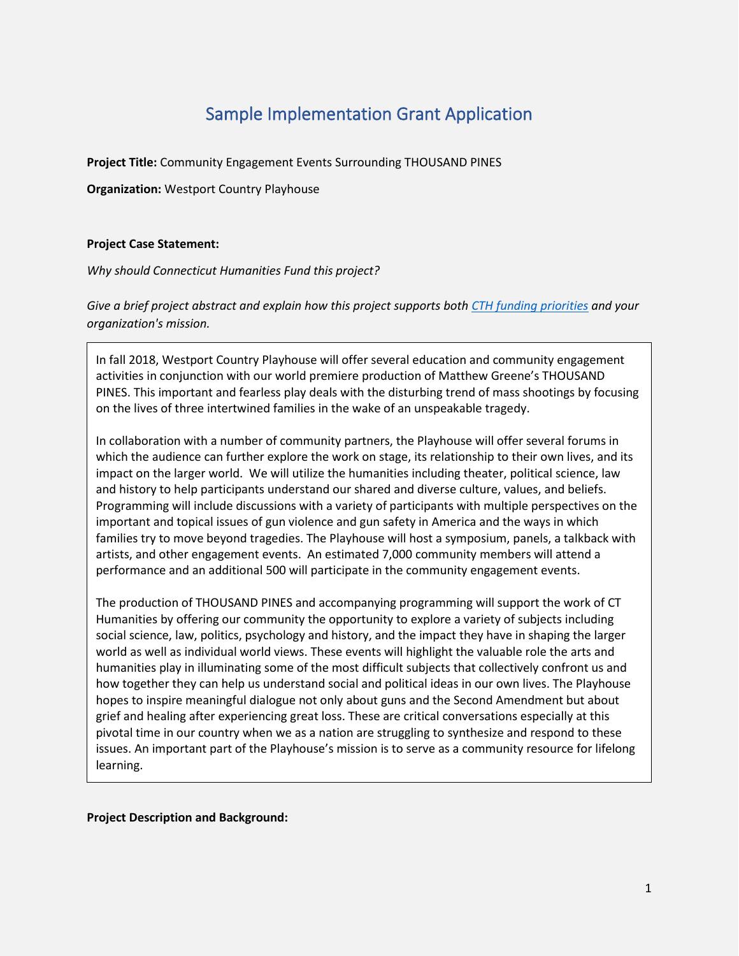# Sample Implementation Grant Application

**Project Title:** Community Engagement Events Surrounding THOUSAND PINES

**Organization:** Westport Country Playhouse

## **Project Case Statement:**

*Why should Connecticut Humanities Fund this project?*

*Give a brief project abstract and explain how this project supports both [CTH funding priorities](https://cthumanities.org/funding-priorities/) and your organization's mission.*

In fall 2018, Westport Country Playhouse will offer several education and community engagement activities in conjunction with our world premiere production of Matthew Greene's THOUSAND PINES. This important and fearless play deals with the disturbing trend of mass shootings by focusing on the lives of three intertwined families in the wake of an unspeakable tragedy.

In collaboration with a number of community partners, the Playhouse will offer several forums in which the audience can further explore the work on stage, its relationship to their own lives, and its impact on the larger world. We will utilize the humanities including theater, political science, law and history to help participants understand our shared and diverse culture, values, and beliefs. Programming will include discussions with a variety of participants with multiple perspectives on the important and topical issues of gun violence and gun safety in America and the ways in which families try to move beyond tragedies. The Playhouse will host a symposium, panels, a talkback with artists, and other engagement events. An estimated 7,000 community members will attend a performance and an additional 500 will participate in the community engagement events.

The production of THOUSAND PINES and accompanying programming will support the work of CT Humanities by offering our community the opportunity to explore a variety of subjects including social science, law, politics, psychology and history, and the impact they have in shaping the larger world as well as individual world views. These events will highlight the valuable role the arts and humanities play in illuminating some of the most difficult subjects that collectively confront us and how together they can help us understand social and political ideas in our own lives. The Playhouse hopes to inspire meaningful dialogue not only about guns and the Second Amendment but about grief and healing after experiencing great loss. These are critical conversations especially at this pivotal time in our country when we as a nation are struggling to synthesize and respond to these issues. An important part of the Playhouse's mission is to serve as a community resource for lifelong learning.

**Project Description and Background:**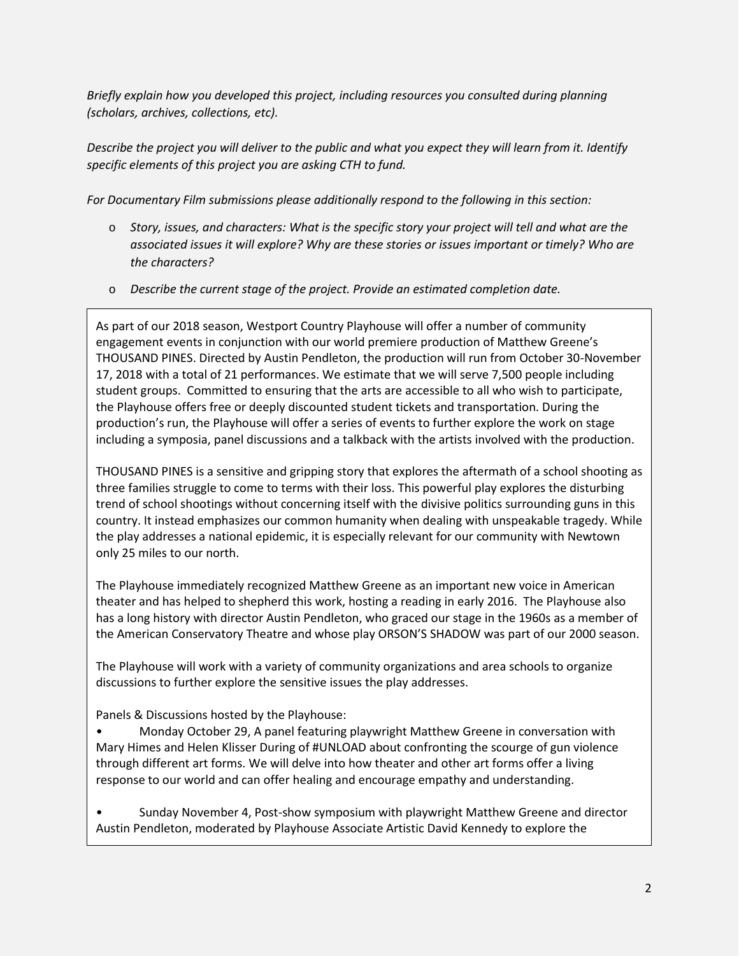*Briefly explain how you developed this project, including resources you consulted during planning (scholars, archives, collections, etc).*

*Describe the project you will deliver to the public and what you expect they will learn from it. Identify specific elements of this project you are asking CTH to fund.*

*For Documentary Film submissions please additionally respond to the following in this section:*

- o *Story, issues, and characters: What is the specific story your project will tell and what are the associated issues it will explore? Why are these stories or issues important or timely? Who are the characters?*
- o *Describe the current stage of the project. Provide an estimated completion date.*

As part of our 2018 season, Westport Country Playhouse will offer a number of community engagement events in conjunction with our world premiere production of Matthew Greene's THOUSAND PINES. Directed by Austin Pendleton, the production will run from October 30-November 17, 2018 with a total of 21 performances. We estimate that we will serve 7,500 people including student groups. Committed to ensuring that the arts are accessible to all who wish to participate, the Playhouse offers free or deeply discounted student tickets and transportation. During the production's run, the Playhouse will offer a series of events to further explore the work on stage including a symposia, panel discussions and a talkback with the artists involved with the production.

THOUSAND PINES is a sensitive and gripping story that explores the aftermath of a school shooting as three families struggle to come to terms with their loss. This powerful play explores the disturbing trend of school shootings without concerning itself with the divisive politics surrounding guns in this country. It instead emphasizes our common humanity when dealing with unspeakable tragedy. While the play addresses a national epidemic, it is especially relevant for our community with Newtown only 25 miles to our north.

The Playhouse immediately recognized Matthew Greene as an important new voice in American theater and has helped to shepherd this work, hosting a reading in early 2016. The Playhouse also has a long history with director Austin Pendleton, who graced our stage in the 1960s as a member of the American Conservatory Theatre and whose play ORSON'S SHADOW was part of our 2000 season.

The Playhouse will work with a variety of community organizations and area schools to organize discussions to further explore the sensitive issues the play addresses.

Panels & Discussions hosted by the Playhouse:

• Monday October 29, A panel featuring playwright Matthew Greene in conversation with Mary Himes and Helen Klisser During of #UNLOAD about confronting the scourge of gun violence through different art forms. We will delve into how theater and other art forms offer a living response to our world and can offer healing and encourage empathy and understanding.

• Sunday November 4, Post-show symposium with playwright Matthew Greene and director Austin Pendleton, moderated by Playhouse Associate Artistic David Kennedy to explore the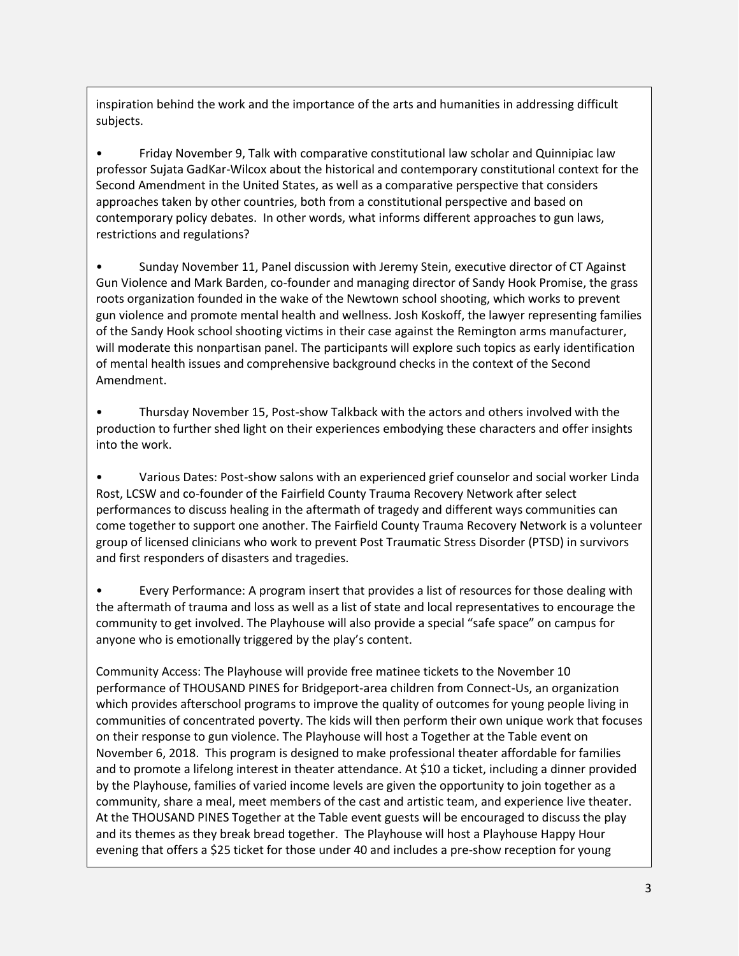inspiration behind the work and the importance of the arts and humanities in addressing difficult subjects.

• Friday November 9, Talk with comparative constitutional law scholar and Quinnipiac law professor Sujata GadKar-Wilcox about the historical and contemporary constitutional context for the Second Amendment in the United States, as well as a comparative perspective that considers approaches taken by other countries, both from a constitutional perspective and based on contemporary policy debates. In other words, what informs different approaches to gun laws, restrictions and regulations?

• Sunday November 11, Panel discussion with Jeremy Stein, executive director of CT Against Gun Violence and Mark Barden, co-founder and managing director of Sandy Hook Promise, the grass roots organization founded in the wake of the Newtown school shooting, which works to prevent gun violence and promote mental health and wellness. Josh Koskoff, the lawyer representing families of the Sandy Hook school shooting victims in their case against the Remington arms manufacturer, will moderate this nonpartisan panel. The participants will explore such topics as early identification of mental health issues and comprehensive background checks in the context of the Second Amendment.

• Thursday November 15, Post-show Talkback with the actors and others involved with the production to further shed light on their experiences embodying these characters and offer insights into the work.

• Various Dates: Post-show salons with an experienced grief counselor and social worker Linda Rost, LCSW and co-founder of the Fairfield County Trauma Recovery Network after select performances to discuss healing in the aftermath of tragedy and different ways communities can come together to support one another. The Fairfield County Trauma Recovery Network is a volunteer group of licensed clinicians who work to prevent Post Traumatic Stress Disorder (PTSD) in survivors and first responders of disasters and tragedies.

• Every Performance: A program insert that provides a list of resources for those dealing with the aftermath of trauma and loss as well as a list of state and local representatives to encourage the community to get involved. The Playhouse will also provide a special "safe space" on campus for anyone who is emotionally triggered by the play's content.

Community Access: The Playhouse will provide free matinee tickets to the November 10 performance of THOUSAND PINES for Bridgeport-area children from Connect-Us, an organization which provides afterschool programs to improve the quality of outcomes for young people living in communities of concentrated poverty. The kids will then perform their own unique work that focuses on their response to gun violence. The Playhouse will host a Together at the Table event on November 6, 2018. This program is designed to make professional theater affordable for families and to promote a lifelong interest in theater attendance. At \$10 a ticket, including a dinner provided by the Playhouse, families of varied income levels are given the opportunity to join together as a community, share a meal, meet members of the cast and artistic team, and experience live theater. At the THOUSAND PINES Together at the Table event guests will be encouraged to discuss the play and its themes as they break bread together. The Playhouse will host a Playhouse Happy Hour evening that offers a \$25 ticket for those under 40 and includes a pre-show reception for young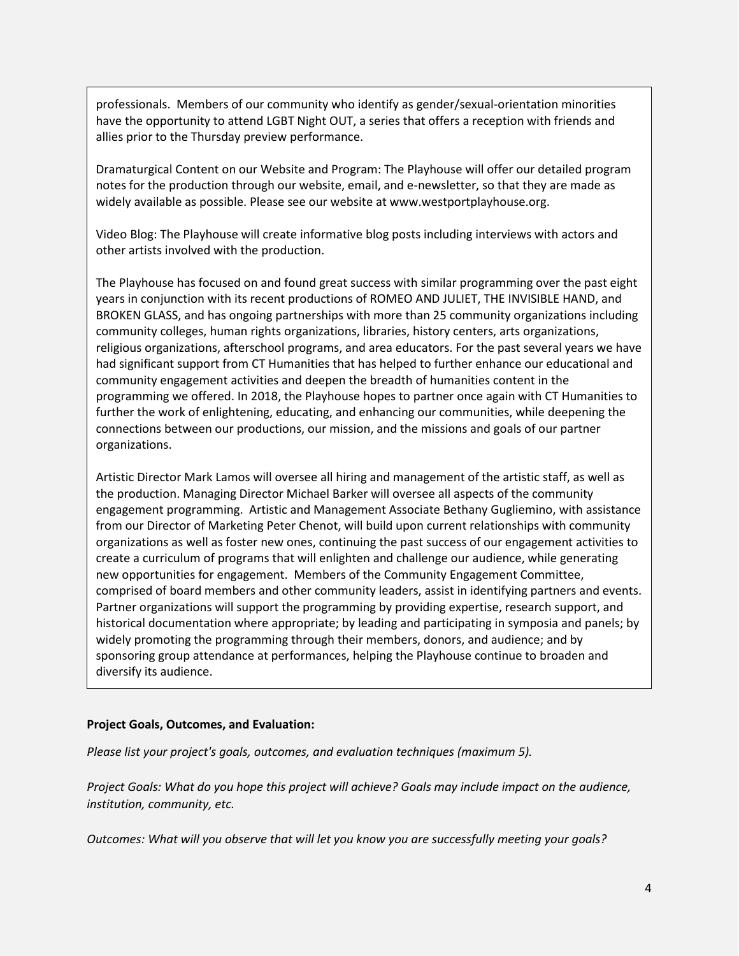professionals. Members of our community who identify as gender/sexual-orientation minorities have the opportunity to attend LGBT Night OUT, a series that offers a reception with friends and allies prior to the Thursday preview performance.

Dramaturgical Content on our Website and Program: The Playhouse will offer our detailed program notes for the production through our website, email, and e-newsletter, so that they are made as widely available as possible. Please see our website at www.westportplayhouse.org.

Video Blog: The Playhouse will create informative blog posts including interviews with actors and other artists involved with the production.

The Playhouse has focused on and found great success with similar programming over the past eight years in conjunction with its recent productions of ROMEO AND JULIET, THE INVISIBLE HAND, and BROKEN GLASS, and has ongoing partnerships with more than 25 community organizations including community colleges, human rights organizations, libraries, history centers, arts organizations, religious organizations, afterschool programs, and area educators. For the past several years we have had significant support from CT Humanities that has helped to further enhance our educational and community engagement activities and deepen the breadth of humanities content in the programming we offered. In 2018, the Playhouse hopes to partner once again with CT Humanities to further the work of enlightening, educating, and enhancing our communities, while deepening the connections between our productions, our mission, and the missions and goals of our partner organizations.

Artistic Director Mark Lamos will oversee all hiring and management of the artistic staff, as well as the production. Managing Director Michael Barker will oversee all aspects of the community engagement programming. Artistic and Management Associate Bethany Gugliemino, with assistance from our Director of Marketing Peter Chenot, will build upon current relationships with community organizations as well as foster new ones, continuing the past success of our engagement activities to create a curriculum of programs that will enlighten and challenge our audience, while generating new opportunities for engagement. Members of the Community Engagement Committee, comprised of board members and other community leaders, assist in identifying partners and events. Partner organizations will support the programming by providing expertise, research support, and historical documentation where appropriate; by leading and participating in symposia and panels; by widely promoting the programming through their members, donors, and audience; and by sponsoring group attendance at performances, helping the Playhouse continue to broaden and diversify its audience.

#### **Project Goals, Outcomes, and Evaluation:**

*Please list your project's goals, outcomes, and evaluation techniques (maximum 5).*

*Project Goals: What do you hope this project will achieve? Goals may include impact on the audience, institution, community, etc.*

*Outcomes: What will you observe that will let you know you are successfully meeting your goals?*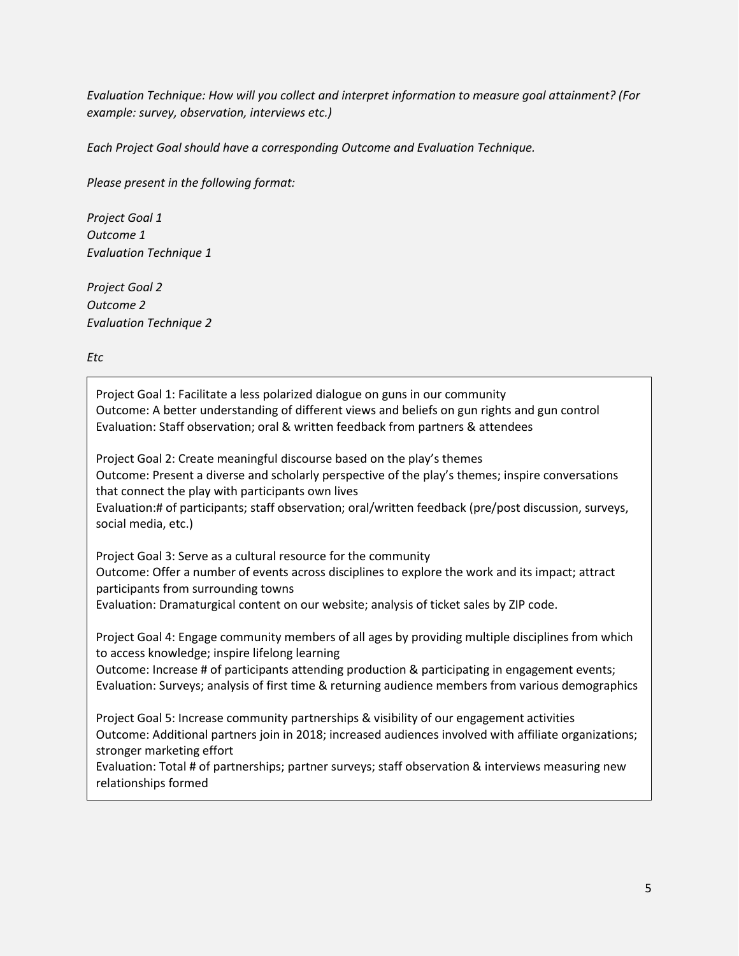*Evaluation Technique: How will you collect and interpret information to measure goal attainment? (For example: survey, observation, interviews etc.)*

*Each Project Goal should have a corresponding Outcome and Evaluation Technique.*

*Please present in the following format:*

*Project Goal 1 Outcome 1 Evaluation Technique 1*

*Project Goal 2 Outcome 2 Evaluation Technique 2*

*Etc*

Project Goal 1: Facilitate a less polarized dialogue on guns in our community Outcome: A better understanding of different views and beliefs on gun rights and gun control Evaluation: Staff observation; oral & written feedback from partners & attendees

Project Goal 2: Create meaningful discourse based on the play's themes Outcome: Present a diverse and scholarly perspective of the play's themes; inspire conversations that connect the play with participants own lives Evaluation:# of participants; staff observation; oral/written feedback (pre/post discussion, surveys,

social media, etc.)

Project Goal 3: Serve as a cultural resource for the community Outcome: Offer a number of events across disciplines to explore the work and its impact; attract participants from surrounding towns Evaluation: Dramaturgical content on our website; analysis of ticket sales by ZIP code.

Project Goal 4: Engage community members of all ages by providing multiple disciplines from which to access knowledge; inspire lifelong learning

Outcome: Increase # of participants attending production & participating in engagement events; Evaluation: Surveys; analysis of first time & returning audience members from various demographics

Project Goal 5: Increase community partnerships & visibility of our engagement activities Outcome: Additional partners join in 2018; increased audiences involved with affiliate organizations; stronger marketing effort

Evaluation: Total # of partnerships; partner surveys; staff observation & interviews measuring new relationships formed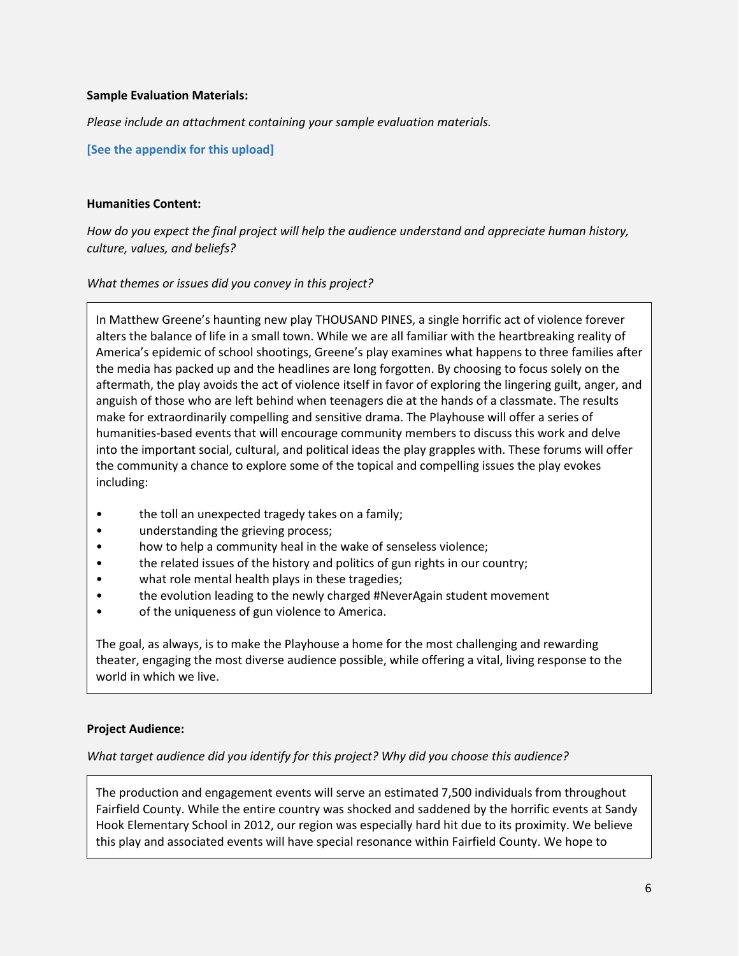#### **Sample Evaluation Materials:**

*Please include an attachment containing your sample evaluation materials.*

**[See the appendix for this upload]**

#### **Humanities Content:**

*How do you expect the final project will help the audience understand and appreciate human history, culture, values, and beliefs?*

#### *What themes or issues did you convey in this project?*

In Matthew Greene's haunting new play THOUSAND PINES, a single horrific act of violence forever alters the balance of life in a small town. While we are all familiar with the heartbreaking reality of America's epidemic of school shootings, Greene's play examines what happens to three families after the media has packed up and the headlines are long forgotten. By choosing to focus solely on the aftermath, the play avoids the act of violence itself in favor of exploring the lingering guilt, anger, and anguish of those who are left behind when teenagers die at the hands of a classmate. The results make for extraordinarily compelling and sensitive drama. The Playhouse will offer a series of humanities-based events that will encourage community members to discuss this work and delve into the important social, cultural, and political ideas the play grapples with. These forums will offer the community a chance to explore some of the topical and compelling issues the play evokes including:

- the toll an unexpected tragedy takes on a family;
- understanding the grieving process;
- how to help a community heal in the wake of senseless violence;
- the related issues of the history and politics of gun rights in our country;
- what role mental health plays in these tragedies;
- the evolution leading to the newly charged #NeverAgain student movement
- of the uniqueness of gun violence to America.

The goal, as always, is to make the Playhouse a home for the most challenging and rewarding theater, engaging the most diverse audience possible, while offering a vital, living response to the world in which we live.

## **Project Audience:**

*What target audience did you identify for this project? Why did you choose this audience?*

The production and engagement events will serve an estimated 7,500 individuals from throughout Fairfield County. While the entire country was shocked and saddened by the horrific events at Sandy Hook Elementary School in 2012, our region was especially hard hit due to its proximity. We believe this play and associated events will have special resonance within Fairfield County. We hope to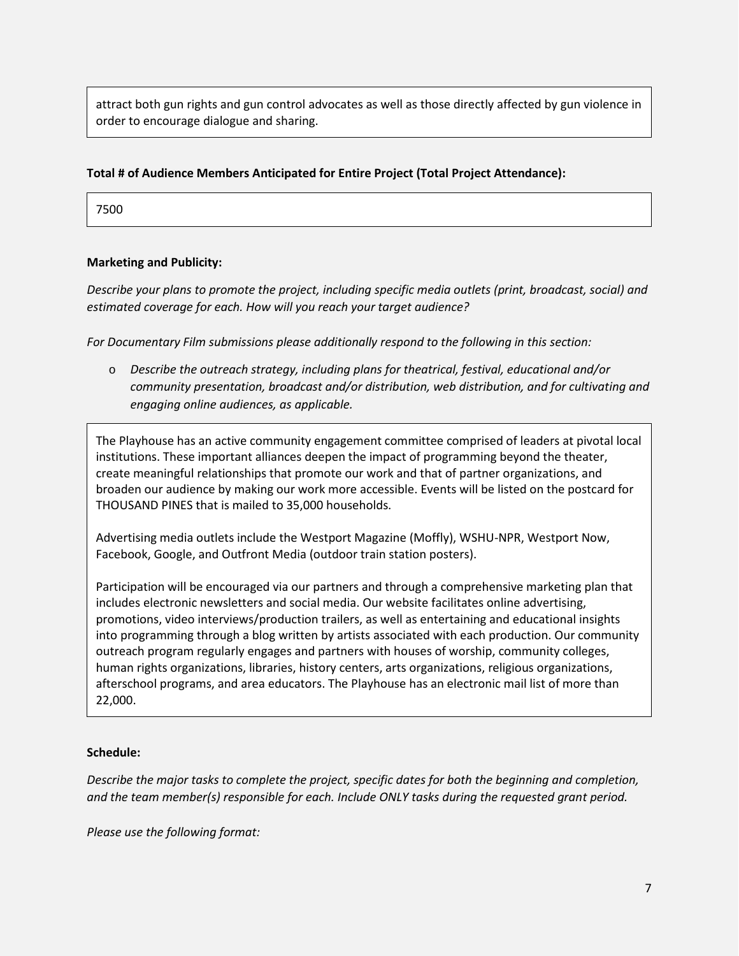attract both gun rights and gun control advocates as well as those directly affected by gun violence in order to encourage dialogue and sharing.

## **Total # of Audience Members Anticipated for Entire Project (Total Project Attendance):**

7500

## **Marketing and Publicity:**

*Describe your plans to promote the project, including specific media outlets (print, broadcast, social) and estimated coverage for each. How will you reach your target audience?*

*For Documentary Film submissions please additionally respond to the following in this section:*

o *Describe the outreach strategy, including plans for theatrical, festival, educational and/or community presentation, broadcast and/or distribution, web distribution, and for cultivating and engaging online audiences, as applicable.*

The Playhouse has an active community engagement committee comprised of leaders at pivotal local institutions. These important alliances deepen the impact of programming beyond the theater, create meaningful relationships that promote our work and that of partner organizations, and broaden our audience by making our work more accessible. Events will be listed on the postcard for THOUSAND PINES that is mailed to 35,000 households.

Advertising media outlets include the Westport Magazine (Moffly), WSHU-NPR, Westport Now, Facebook, Google, and Outfront Media (outdoor train station posters).

Participation will be encouraged via our partners and through a comprehensive marketing plan that includes electronic newsletters and social media. Our website facilitates online advertising, promotions, video interviews/production trailers, as well as entertaining and educational insights into programming through a blog written by artists associated with each production. Our community outreach program regularly engages and partners with houses of worship, community colleges, human rights organizations, libraries, history centers, arts organizations, religious organizations, afterschool programs, and area educators. The Playhouse has an electronic mail list of more than 22,000.

#### **Schedule:**

*Describe the major tasks to complete the project, specific dates for both the beginning and completion, and the team member(s) responsible for each. Include ONLY tasks during the requested grant period.*

*Please use the following format:*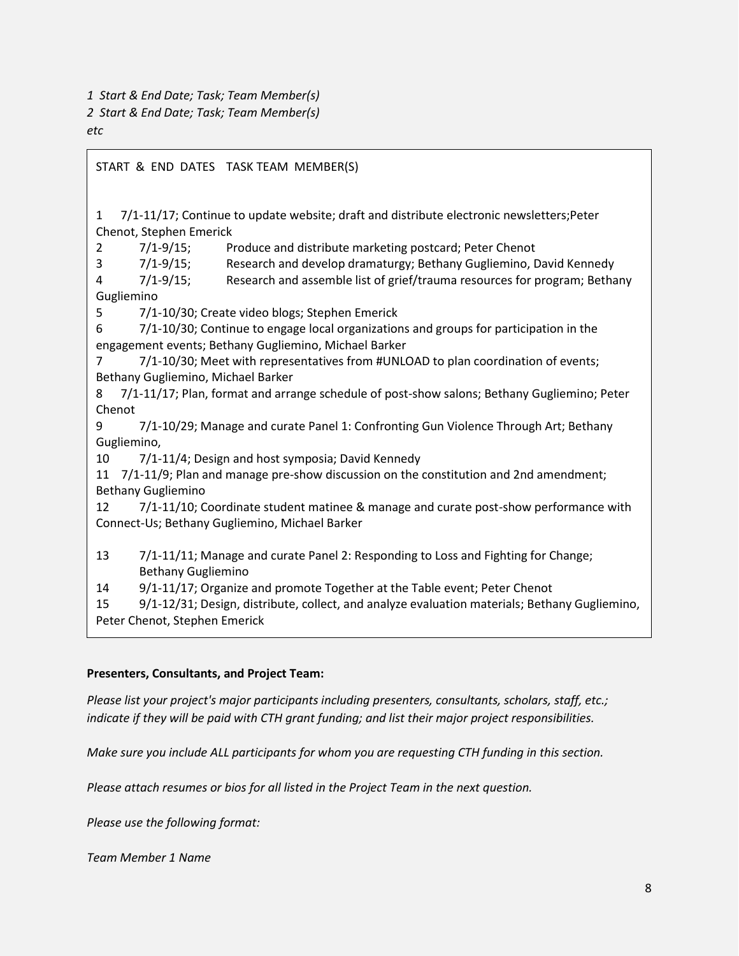*1 Start & End Date; Task; Team Member(s)*

*2 Start & End Date; Task; Team Member(s)*

START & END DATES TASK TEAM MEMBER(S)

*etc*

1 7/1-11/17; Continue to update website; draft and distribute electronic newsletters;Peter Chenot, Stephen Emerick

2 7/1-9/15; Produce and distribute marketing postcard; Peter Chenot

3 7/1-9/15; Research and develop dramaturgy; Bethany Gugliemino, David Kennedy

4 7/1-9/15; Research and assemble list of grief/trauma resources for program; Bethany Gugliemino

5 7/1-10/30; Create video blogs; Stephen Emerick

6 7/1-10/30; Continue to engage local organizations and groups for participation in the engagement events; Bethany Gugliemino, Michael Barker

7 7/1-10/30; Meet with representatives from #UNLOAD to plan coordination of events; Bethany Gugliemino, Michael Barker

8 7/1-11/17; Plan, format and arrange schedule of post-show salons; Bethany Gugliemino; Peter Chenot

9 7/1-10/29; Manage and curate Panel 1: Confronting Gun Violence Through Art; Bethany Gugliemino,

10 7/1-11/4; Design and host symposia; David Kennedy

11 7/1-11/9; Plan and manage pre-show discussion on the constitution and 2nd amendment; Bethany Gugliemino

12 7/1-11/10; Coordinate student matinee & manage and curate post-show performance with Connect-Us; Bethany Gugliemino, Michael Barker

13 7/1-11/11; Manage and curate Panel 2: Responding to Loss and Fighting for Change; Bethany Gugliemino

14 9/1-11/17; Organize and promote Together at the Table event; Peter Chenot

15 9/1-12/31; Design, distribute, collect, and analyze evaluation materials; Bethany Gugliemino, Peter Chenot, Stephen Emerick

## **Presenters, Consultants, and Project Team:**

*Please list your project's major participants including presenters, consultants, scholars, staff, etc.; indicate if they will be paid with CTH grant funding; and list their major project responsibilities.*

*Make sure you include ALL participants for whom you are requesting CTH funding in this section.*

*Please attach resumes or bios for all listed in the Project Team in the next question.*

*Please use the following format:*

*Team Member 1 Name*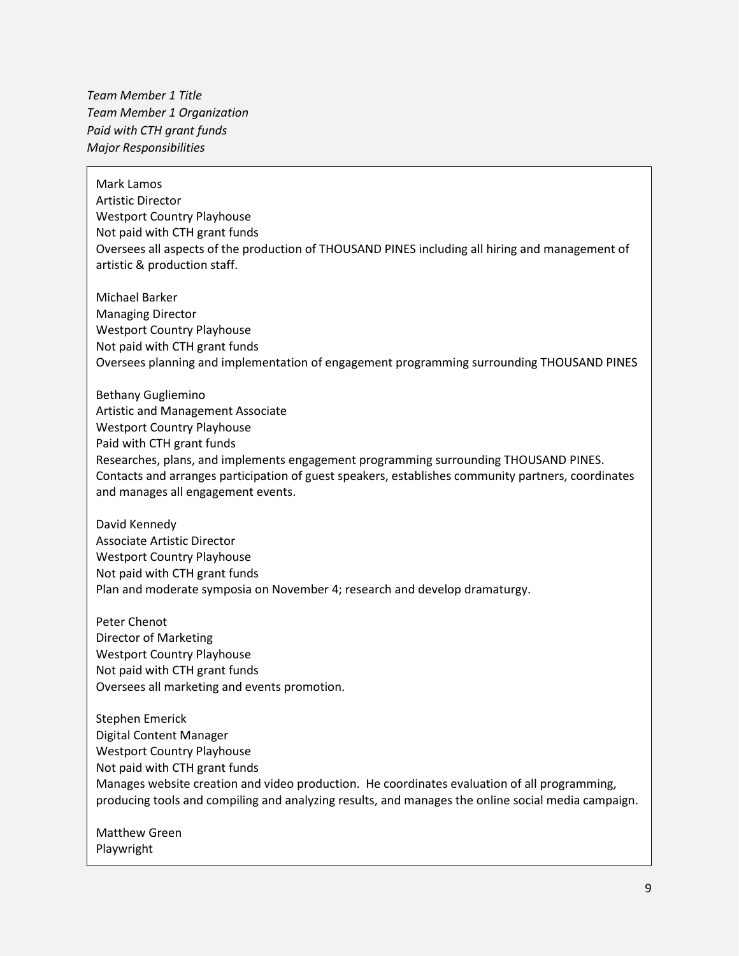*Team Member 1 Title Team Member 1 Organization Paid with CTH grant funds Major Responsibilities*

Mark Lamos Artistic Director Westport Country Playhouse Not paid with CTH grant funds Oversees all aspects of the production of THOUSAND PINES including all hiring and management of artistic & production staff.

Michael Barker Managing Director Westport Country Playhouse Not paid with CTH grant funds Oversees planning and implementation of engagement programming surrounding THOUSAND PINES

Bethany Gugliemino Artistic and Management Associate Westport Country Playhouse Paid with CTH grant funds Researches, plans, and implements engagement programming surrounding THOUSAND PINES. Contacts and arranges participation of guest speakers, establishes community partners, coordinates and manages all engagement events.

David Kennedy Associate Artistic Director Westport Country Playhouse Not paid with CTH grant funds Plan and moderate symposia on November 4; research and develop dramaturgy.

Peter Chenot Director of Marketing Westport Country Playhouse Not paid with CTH grant funds Oversees all marketing and events promotion.

Stephen Emerick Digital Content Manager Westport Country Playhouse Not paid with CTH grant funds Manages website creation and video production. He coordinates evaluation of all programming, producing tools and compiling and analyzing results, and manages the online social media campaign.

Matthew Green Playwright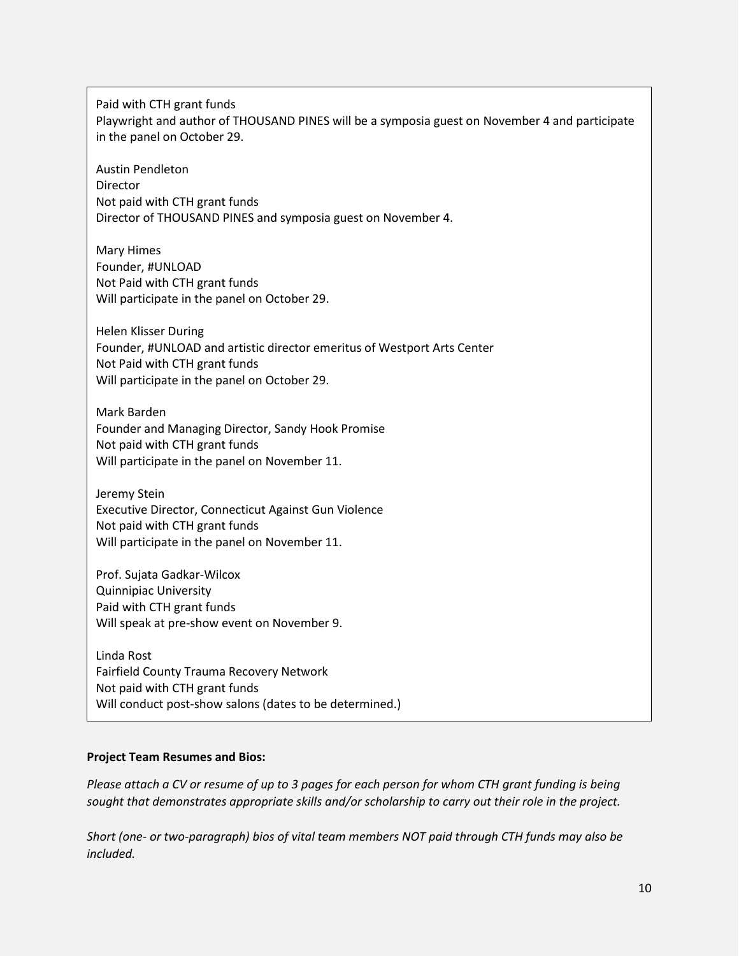Paid with CTH grant funds Playwright and author of THOUSAND PINES will be a symposia guest on November 4 and participate in the panel on October 29.

Austin Pendleton **Director** Not paid with CTH grant funds Director of THOUSAND PINES and symposia guest on November 4.

Mary Himes Founder, #UNLOAD Not Paid with CTH grant funds Will participate in the panel on October 29.

Helen Klisser During Founder, #UNLOAD and artistic director emeritus of Westport Arts Center Not Paid with CTH grant funds Will participate in the panel on October 29.

Mark Barden Founder and Managing Director, Sandy Hook Promise Not paid with CTH grant funds Will participate in the panel on November 11.

Jeremy Stein Executive Director, Connecticut Against Gun Violence Not paid with CTH grant funds Will participate in the panel on November 11.

Prof. Sujata Gadkar-Wilcox Quinnipiac University Paid with CTH grant funds Will speak at pre-show event on November 9.

Linda Rost Fairfield County Trauma Recovery Network Not paid with CTH grant funds Will conduct post-show salons (dates to be determined.)

## **Project Team Resumes and Bios:**

*Please attach a CV or resume of up to 3 pages for each person for whom CTH grant funding is being sought that demonstrates appropriate skills and/or scholarship to carry out their role in the project.*

*Short (one- or two-paragraph) bios of vital team members NOT paid through CTH funds may also be included.*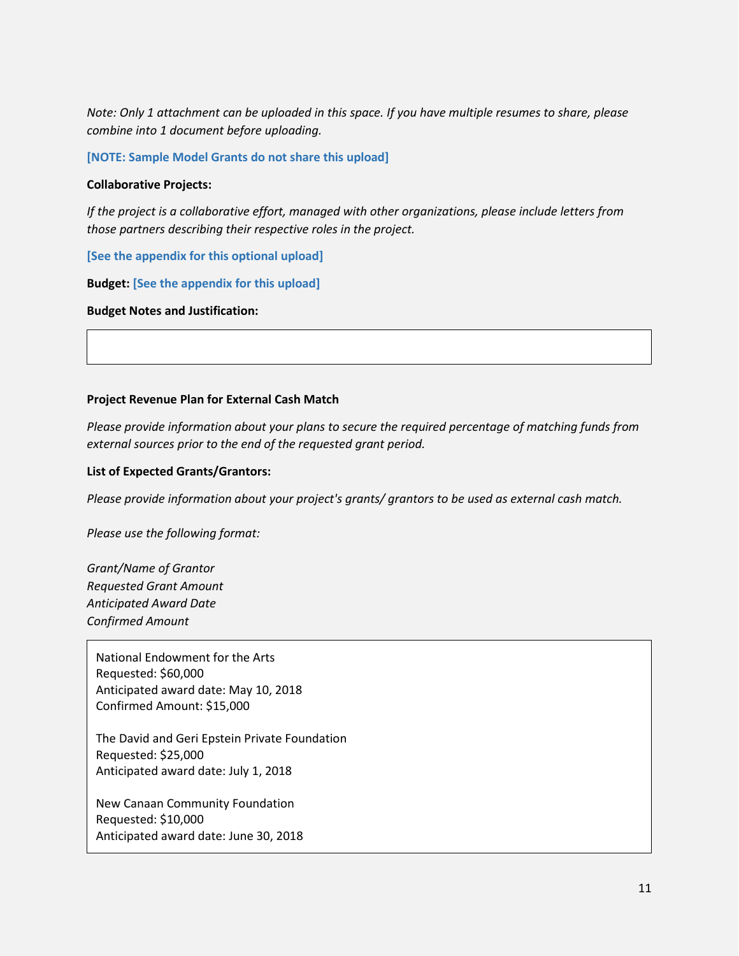*Note: Only 1 attachment can be uploaded in this space. If you have multiple resumes to share, please combine into 1 document before uploading.*

**[NOTE: Sample Model Grants do not share this upload]**

#### **Collaborative Projects:**

*If the project is a collaborative effort, managed with other organizations, please include letters from those partners describing their respective roles in the project.*

**[See the appendix for this optional upload]**

**Budget: [See the appendix for this upload]**

**Budget Notes and Justification:**

#### **Project Revenue Plan for External Cash Match**

*Please provide information about your plans to secure the required percentage of matching funds from external sources prior to the end of the requested grant period.*

#### **List of Expected Grants/Grantors:**

*Please provide information about your project's grants/ grantors to be used as external cash match.*

*Please use the following format:*

*Grant/Name of Grantor Requested Grant Amount Anticipated Award Date Confirmed Amount*

National Endowment for the Arts Requested: \$60,000 Anticipated award date: May 10, 2018 Confirmed Amount: \$15,000

The David and Geri Epstein Private Foundation Requested: \$25,000 Anticipated award date: July 1, 2018

New Canaan Community Foundation Requested: \$10,000 Anticipated award date: June 30, 2018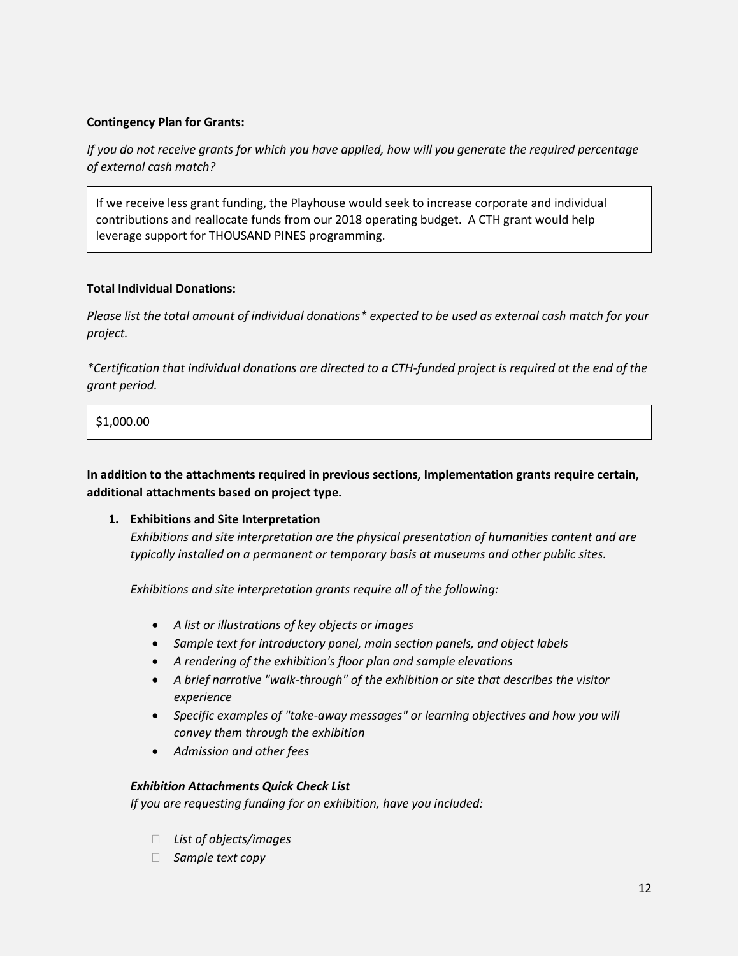## **Contingency Plan for Grants:**

*If you do not receive grants for which you have applied, how will you generate the required percentage of external cash match?*

If we receive less grant funding, the Playhouse would seek to increase corporate and individual contributions and reallocate funds from our 2018 operating budget. A CTH grant would help leverage support for THOUSAND PINES programming.

## **Total Individual Donations:**

*Please list the total amount of individual donations\* expected to be used as external cash match for your project.*

*\*Certification that individual donations are directed to a CTH-funded project is required at the end of the grant period.*

\$1,000.00

**In addition to the attachments required in previous sections, Implementation grants require certain, additional attachments based on project type.**

## **1. Exhibitions and Site Interpretation**

*Exhibitions and site interpretation are the physical presentation of humanities content and are typically installed on a permanent or temporary basis at museums and other public sites.*

*Exhibitions and site interpretation grants require all of the following:*

- *A list or illustrations of key objects or images*
- *Sample text for introductory panel, main section panels, and object labels*
- *A rendering of the exhibition's floor plan and sample elevations*
- *A brief narrative "walk-through" of the exhibition or site that describes the visitor experience*
- *Specific examples of "take-away messages" or learning objectives and how you will convey them through the exhibition*
- *Admission and other fees*

## *Exhibition Attachments Quick Check List*

*If you are requesting funding for an exhibition, have you included:*

- *List of objects/images*
- *Sample text copy*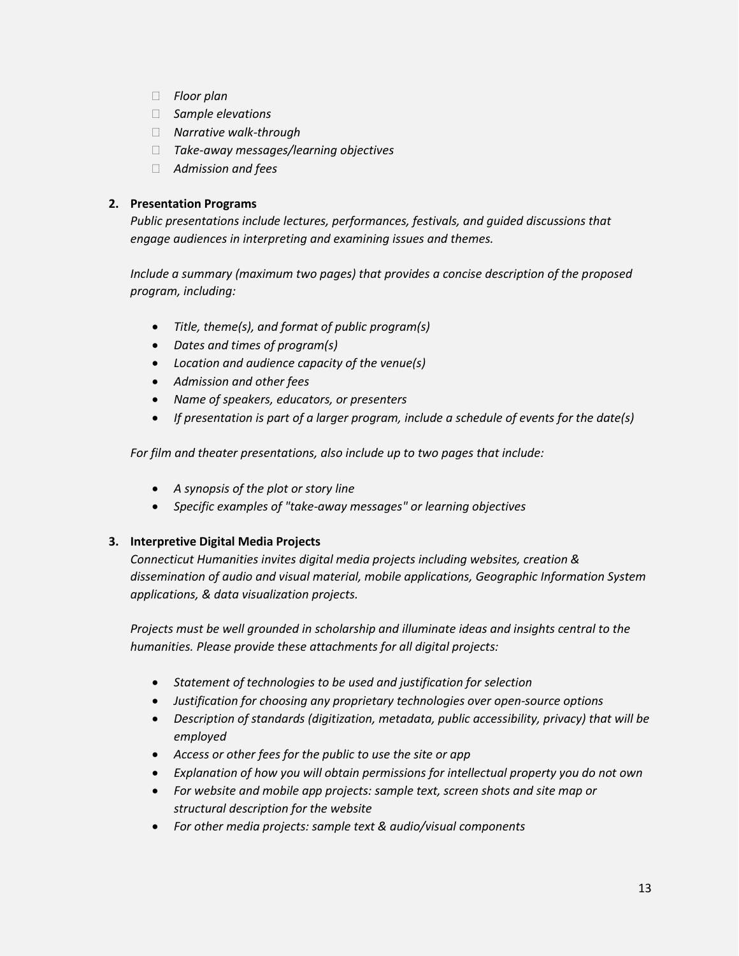- *Floor plan*
- *Sample elevations*
- *Narrative walk-through*
- *Take-away messages/learning objectives*
- *Admission and fees*

## **2. Presentation Programs**

*Public presentations include lectures, performances, festivals, and guided discussions that engage audiences in interpreting and examining issues and themes.*

*Include a summary (maximum two pages) that provides a concise description of the proposed program, including:*

- *Title, theme(s), and format of public program(s)*
- *Dates and times of program(s)*
- *Location and audience capacity of the venue(s)*
- *Admission and other fees*
- *Name of speakers, educators, or presenters*
- *If presentation is part of a larger program, include a schedule of events for the date(s)*

*For film and theater presentations, also include up to two pages that include:*

- *A synopsis of the plot or story line*
- *Specific examples of "take-away messages" or learning objectives*

## **3. Interpretive Digital Media Projects**

*Connecticut Humanities invites digital media projects including websites, creation & dissemination of audio and visual material, mobile applications, Geographic Information System applications, & data visualization projects.*

*Projects must be well grounded in scholarship and illuminate ideas and insights central to the humanities. Please provide these attachments for all digital projects:*

- *Statement of technologies to be used and justification for selection*
- *Justification for choosing any proprietary technologies over open-source options*
- *Description of standards (digitization, metadata, public accessibility, privacy) that will be employed*
- *Access or other fees for the public to use the site or app*
- *Explanation of how you will obtain permissions for intellectual property you do not own*
- *For website and mobile app projects: sample text, screen shots and site map or structural description for the website*
- *For other media projects: sample text & audio/visual components*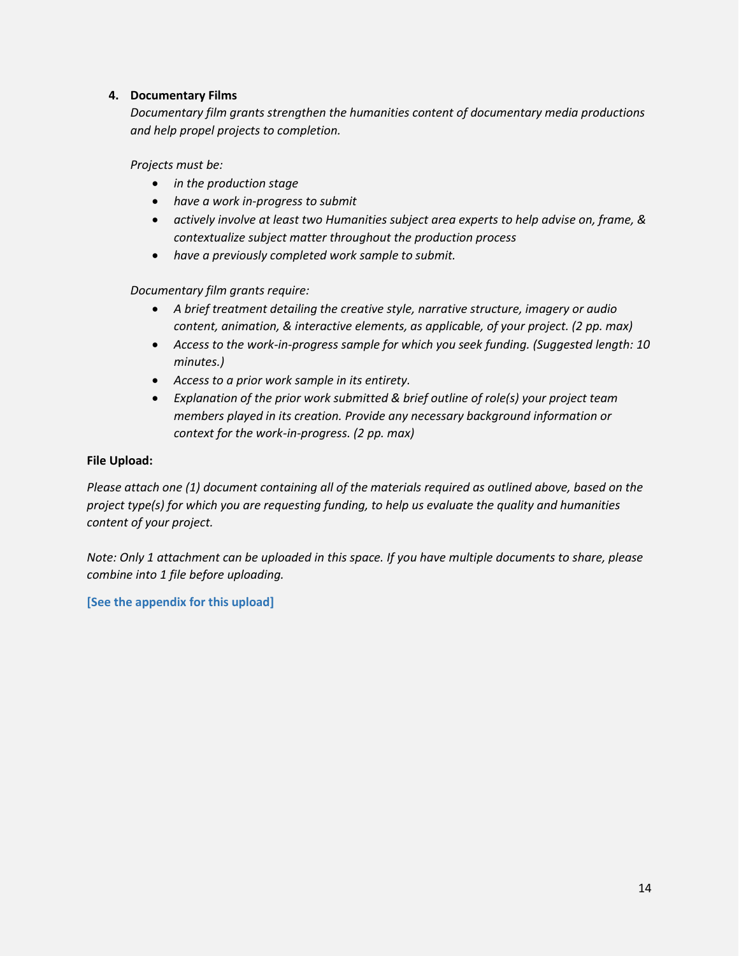## **4. Documentary Films**

*Documentary film grants strengthen the humanities content of documentary media productions and help propel projects to completion.*

*Projects must be:*

- *in the production stage*
- *have a work in-progress to submit*
- *actively involve at least two Humanities subject area experts to help advise on, frame, & contextualize subject matter throughout the production process*
- *have a previously completed work sample to submit.*

## *Documentary film grants require:*

- *A brief treatment detailing the creative style, narrative structure, imagery or audio content, animation, & interactive elements, as applicable, of your project. (2 pp. max)*
- *Access to the work-in-progress sample for which you seek funding. (Suggested length: 10 minutes.)*
- *Access to a prior work sample in its entirety.*
- *Explanation of the prior work submitted & brief outline of role(s) your project team members played in its creation. Provide any necessary background information or context for the work-in-progress. (2 pp. max)*

## **File Upload:**

*Please attach one (1) document containing all of the materials required as outlined above, based on the project type(s) for which you are requesting funding, to help us evaluate the quality and humanities content of your project.*

*Note: Only 1 attachment can be uploaded in this space. If you have multiple documents to share, please combine into 1 file before uploading.*

## **[See the appendix for this upload]**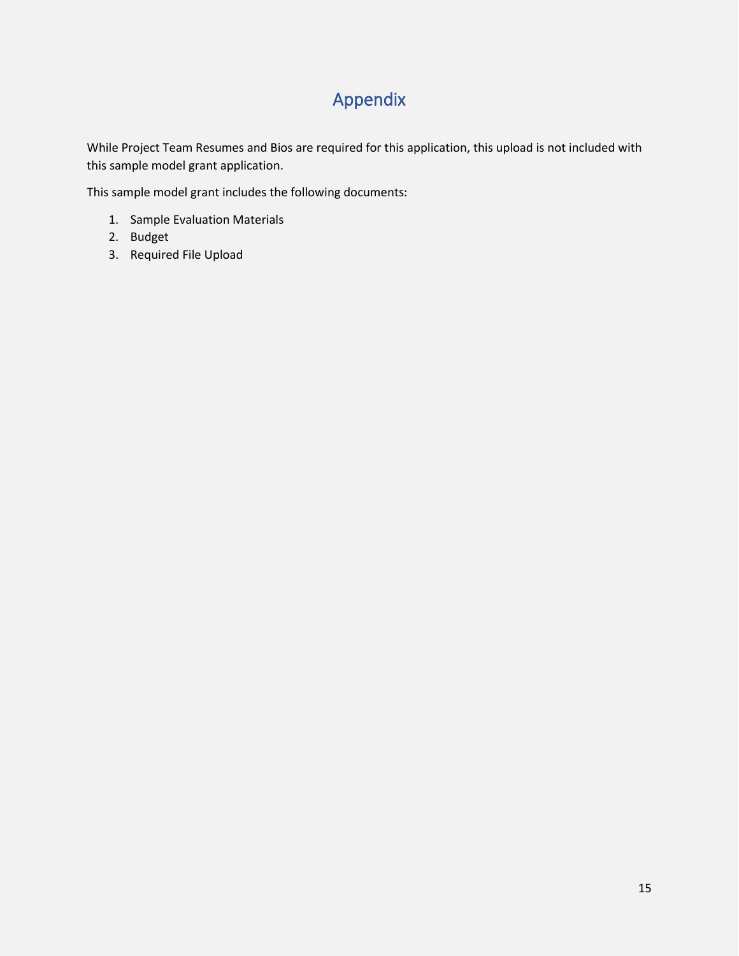# Appendix

While Project Team Resumes and Bios are required for this application, this upload is not included with this sample model grant application.

This sample model grant includes the following documents:

- 1. Sample Evaluation Materials
- 2. Budget
- 3. Required File Upload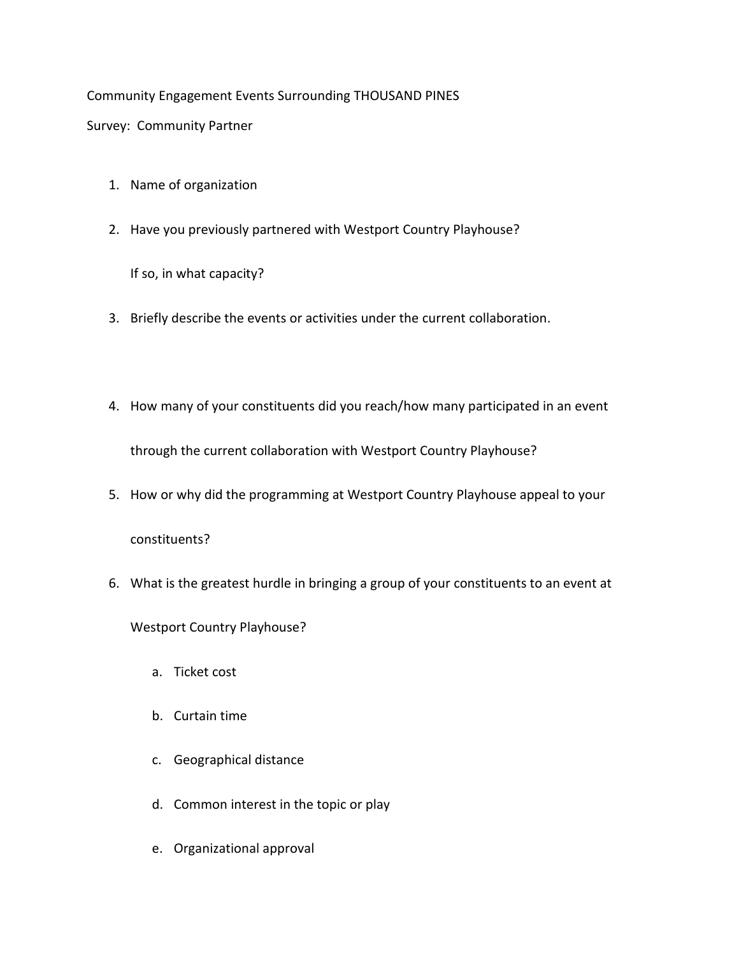# Community Engagement Events Surrounding THOUSAND PINES

Survey: Community Partner

- 1. Name of organization
- 2. Have you previously partnered with Westport Country Playhouse?

If so, in what capacity?

- 3. Briefly describe the events or activities under the current collaboration.
- 4. How many of your constituents did you reach/how many participated in an event through the current collaboration with Westport Country Playhouse?
- 5. How or why did the programming at Westport Country Playhouse appeal to your constituents?
- 6. What is the greatest hurdle in bringing a group of your constituents to an event at

Westport Country Playhouse?

- a. Ticket cost
- b. Curtain time
- c. Geographical distance
- d. Common interest in the topic or play
- e. Organizational approval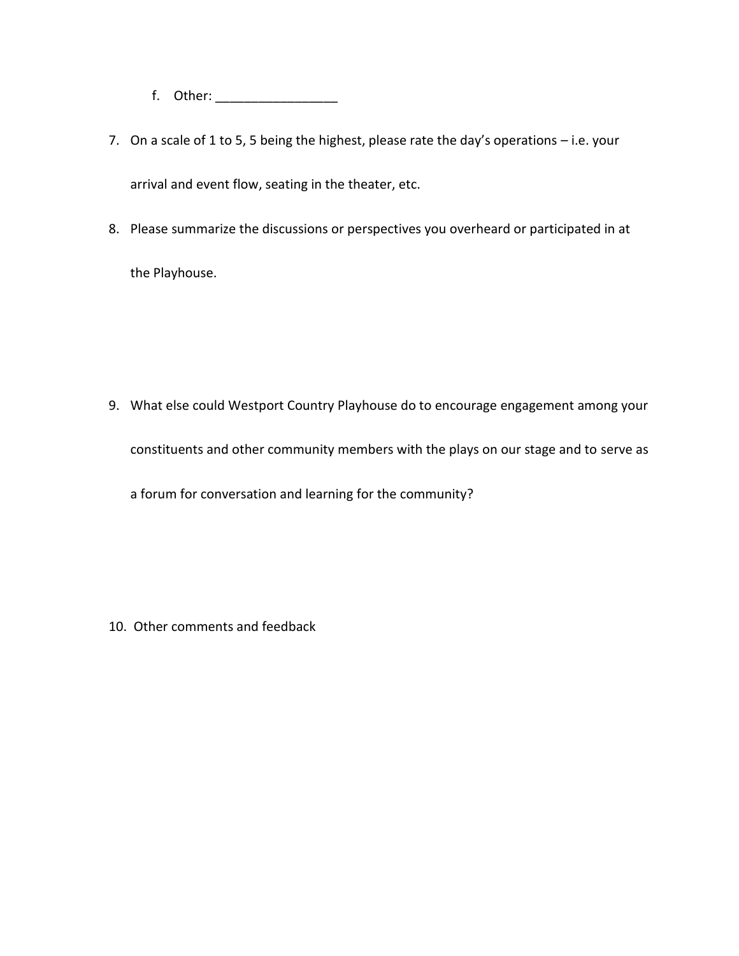f. Other: \_\_\_\_\_\_\_\_\_\_\_\_\_\_\_\_\_

- 7. On a scale of 1 to 5, 5 being the highest, please rate the day's operations i.e. your arrival and event flow, seating in the theater, etc.
- 8. Please summarize the discussions or perspectives you overheard or participated in at the Playhouse.

9. What else could Westport Country Playhouse do to encourage engagement among your constituents and other community members with the plays on our stage and to serve as a forum for conversation and learning for the community?

10. Other comments and feedback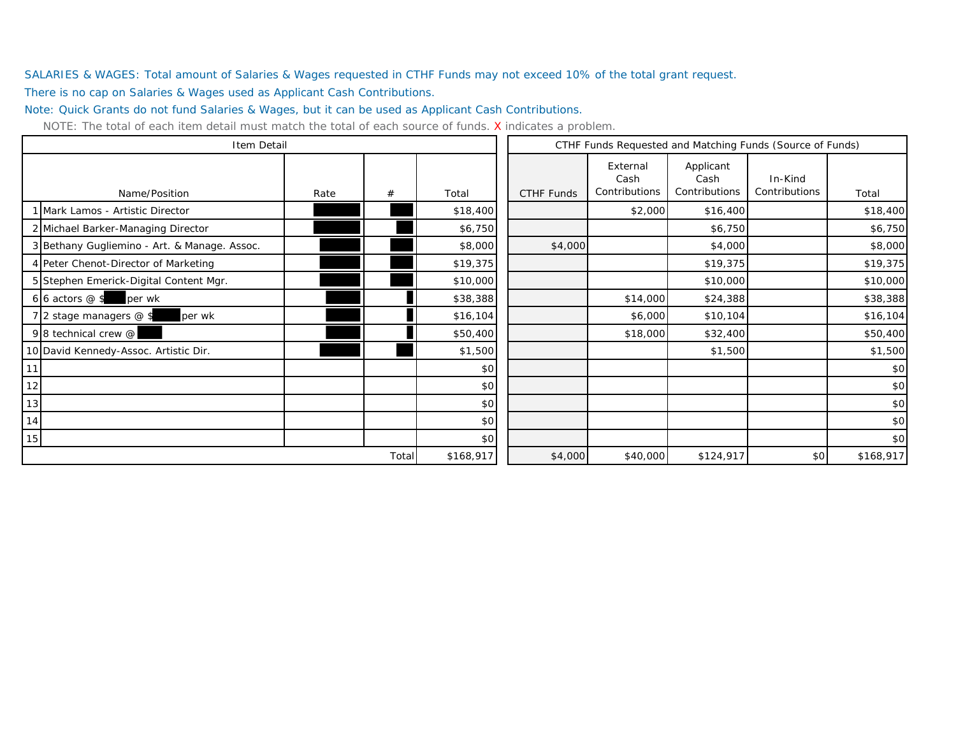SALARIES & WAGES: Total amount of Salaries & Wages requested in CTHF Funds may not exceed 10% of the total grant request.

There is no cap on Salaries & Wages used as Applicant Cash Contributions.

Note: Quick Grants do not fund Salaries & Wages, but it can be used as Applicant Cash Contributions.

|                                              | Item Detail |       |           |            | CTHF Funds Requested and Matching Funds (Source of Funds) |                                    |                          |           |  |
|----------------------------------------------|-------------|-------|-----------|------------|-----------------------------------------------------------|------------------------------------|--------------------------|-----------|--|
| Name/Position                                | Rate        | #     | Total     | CTHF Funds | External<br>Cash<br>Contributions                         | Applicant<br>Cash<br>Contributions | In-Kind<br>Contributions | Total     |  |
| 1 Mark Lamos - Artistic Director             |             |       | \$18,400  |            | \$2,000                                                   | \$16,400                           |                          | \$18,400  |  |
| 2 Michael Barker-Managing Director           |             |       | \$6,750   |            |                                                           | \$6,750                            |                          | \$6,750   |  |
| 3 Bethany Gugliemino - Art. & Manage. Assoc. |             |       | \$8,000   | \$4,000    |                                                           | \$4,000                            |                          | \$8,000   |  |
| 4 Peter Chenot-Director of Marketing         |             |       | \$19,375  |            |                                                           | \$19,375                           |                          | \$19,375  |  |
| 5 Stephen Emerick-Digital Content Mgr.       |             |       | \$10,000  |            |                                                           | \$10,000                           |                          | \$10,000  |  |
| 6 6 actors $@$ \$<br>per wk                  |             |       | \$38,388  |            | \$14,000                                                  | \$24,388                           |                          | \$38,388  |  |
| 7 2 stage managers @ \$<br>per wk            |             |       | \$16,104  |            | \$6,000                                                   | \$10,104                           |                          | \$16,104  |  |
| 98 technical crew @                          |             |       | \$50,400  |            | \$18,000                                                  | \$32,400                           |                          | \$50,400  |  |
| 10 David Kennedy-Assoc. Artistic Dir.        |             |       | \$1,500   |            |                                                           | \$1,500                            |                          | \$1,500   |  |
| 11                                           |             |       | \$0       |            |                                                           |                                    |                          | \$0       |  |
| 12                                           |             |       | \$0       |            |                                                           |                                    |                          | \$0       |  |
| 13                                           |             |       | \$0       |            |                                                           |                                    |                          | \$0       |  |
| 14                                           |             |       | \$0       |            |                                                           |                                    |                          | \$0       |  |
| 15                                           |             |       | \$0       |            |                                                           |                                    |                          | \$0       |  |
|                                              |             | Total | \$168,917 | \$4,000    | \$40,000                                                  | \$124,917                          | \$0                      | \$168,917 |  |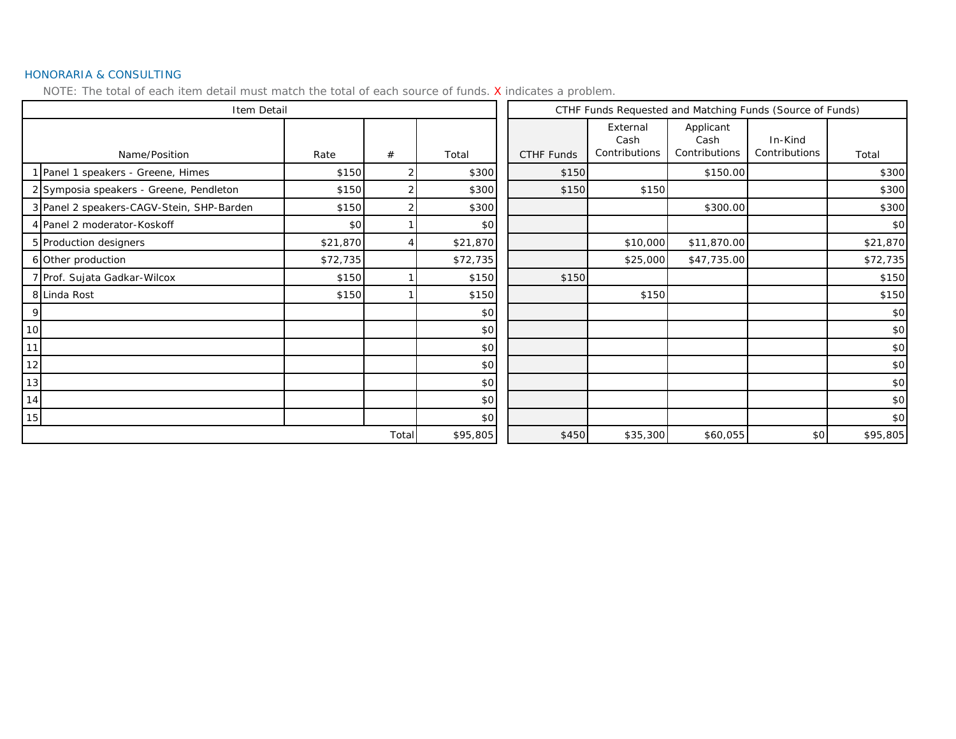#### HONORARIA & CONSULTING

|       | Item Detail                               |          |          |          |                   | CTHF Funds Requested and Matching Funds (Source of Funds) |                                    |                          |          |  |
|-------|-------------------------------------------|----------|----------|----------|-------------------|-----------------------------------------------------------|------------------------------------|--------------------------|----------|--|
|       | Name/Position                             | Rate     | #        | Total    | <b>CTHF Funds</b> | External<br>Cash<br>Contributions                         | Applicant<br>Cash<br>Contributions | In-Kind<br>Contributions | Total    |  |
|       | 1 Panel 1 speakers - Greene, Himes        | \$150    |          | \$300    | \$150             |                                                           | \$150.00                           |                          | \$300    |  |
|       | 2 Symposia speakers - Greene, Pendleton   | \$150    |          | \$300    | \$150             | \$150                                                     |                                    |                          | \$300    |  |
|       | 3 Panel 2 speakers-CAGV-Stein, SHP-Barden | \$150    |          | \$300    |                   |                                                           | \$300.00                           |                          | \$300    |  |
|       | 4 Panel 2 moderator-Koskoff               | \$0      |          | \$0      |                   |                                                           |                                    |                          | \$0      |  |
|       | 5 Production designers                    | \$21,870 |          | \$21,870 |                   | \$10,000                                                  | \$11,870.00                        |                          | \$21,870 |  |
|       | 6 Other production                        | \$72,735 |          | \$72,735 |                   | \$25,000                                                  | \$47,735.00                        |                          | \$72,735 |  |
|       | 7 Prof. Sujata Gadkar-Wilcox              | \$150    |          | \$150    | \$150             |                                                           |                                    |                          | \$150    |  |
|       | 8 Linda Rost                              | \$150    |          | \$150    |                   | \$150                                                     |                                    |                          | \$150    |  |
| 9     |                                           |          |          | \$0      |                   |                                                           |                                    |                          | \$0      |  |
| 10    |                                           |          |          | \$0      |                   |                                                           |                                    |                          | \$0      |  |
| 11    |                                           |          |          | \$0      |                   |                                                           |                                    |                          | \$0      |  |
| 12    |                                           |          |          | \$0      |                   |                                                           |                                    |                          | \$0      |  |
| 13    |                                           |          |          | \$0      |                   |                                                           |                                    |                          | \$0      |  |
| 14    |                                           |          |          | \$0      |                   |                                                           |                                    |                          | \$0      |  |
| 15    |                                           |          |          | \$0      |                   |                                                           |                                    |                          | \$0      |  |
| Total |                                           |          | \$95,805 | \$450    | \$35,300          | \$60,055                                                  | \$0                                | \$95,805                 |          |  |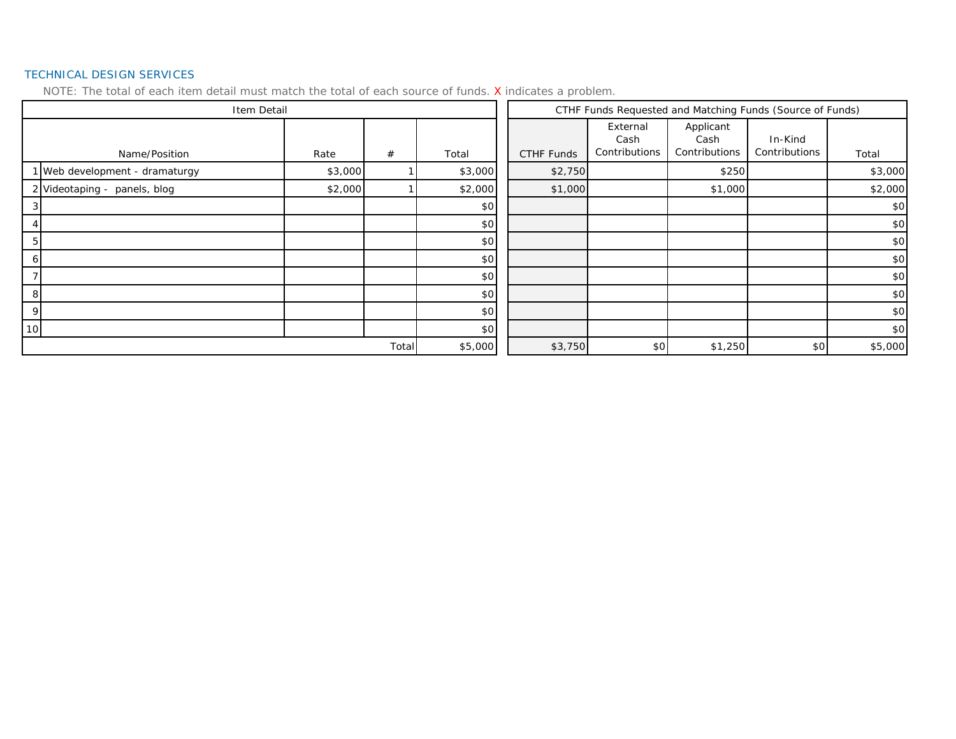#### TECHNICAL DESIGN SERVICES

|                 | Item Detail                    |         |         |         |            | CTHF Funds Requested and Matching Funds (Source of Funds) |                                    |                          |         |
|-----------------|--------------------------------|---------|---------|---------|------------|-----------------------------------------------------------|------------------------------------|--------------------------|---------|
|                 | Name/Position                  | Rate    | #       | Total   | CTHF Funds | External<br>Cash<br>Contributions                         | Applicant<br>Cash<br>Contributions | In-Kind<br>Contributions | Total   |
|                 | 1 Web development - dramaturgy | \$3,000 |         | \$3,000 | \$2,750    |                                                           | \$250                              |                          | \$3,000 |
|                 | 2 Videotaping - panels, blog   | \$2,000 |         | \$2,000 | \$1,000    |                                                           | \$1,000                            |                          | \$2,000 |
|                 |                                |         |         | \$0     |            |                                                           |                                    |                          | \$0     |
|                 |                                |         |         | \$0     |            |                                                           |                                    |                          | \$0     |
| 5               |                                |         |         | \$0     |            |                                                           |                                    |                          | \$0     |
| 6               |                                |         |         | \$0     |            |                                                           |                                    |                          | \$0     |
|                 |                                |         |         | \$0     |            |                                                           |                                    |                          | \$0     |
| 8               |                                |         |         | \$0     |            |                                                           |                                    |                          | \$0     |
| 9               |                                |         |         | \$0     |            |                                                           |                                    |                          | \$0     |
| 10 <sup>1</sup> |                                |         |         | \$0     |            |                                                           |                                    |                          | \$0     |
| Total           |                                |         | \$5,000 | \$3,750 | \$0        | \$1,250                                                   | \$0                                | \$5,000                  |         |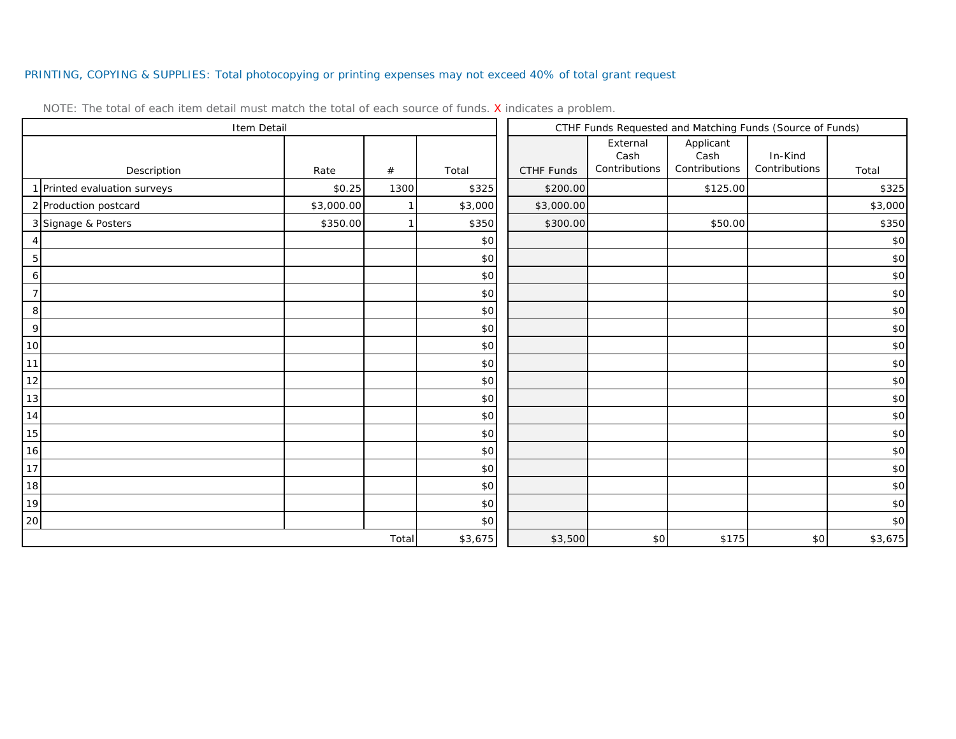## PRINTING, COPYING & SUPPLIES: Total photocopying or printing expenses may not exceed 40% of total grant request

| Item Detail                  |            |       |         | CTHF Funds Requested and Matching Funds (Source of Funds) |                                   |                                    |                          |         |
|------------------------------|------------|-------|---------|-----------------------------------------------------------|-----------------------------------|------------------------------------|--------------------------|---------|
| Description                  | Rate       | $\#$  | Total   | CTHF Funds                                                | External<br>Cash<br>Contributions | Applicant<br>Cash<br>Contributions | In-Kind<br>Contributions | Total   |
| 1 Printed evaluation surveys | \$0.25     | 1300  | \$325   | \$200.00                                                  |                                   | \$125.00                           |                          | \$325   |
| 2 Production postcard        | \$3,000.00 |       | \$3,000 | \$3,000.00                                                |                                   |                                    |                          | \$3,000 |
| 3 Signage & Posters          | \$350.00   |       | \$350   | \$300.00                                                  |                                   | \$50.00                            |                          | \$350   |
| 4                            |            |       | \$0     |                                                           |                                   |                                    |                          | \$0     |
| $\mathbf 5$                  |            |       | \$0     |                                                           |                                   |                                    |                          | \$0     |
| $\boldsymbol{6}$             |            |       | \$0     |                                                           |                                   |                                    |                          | \$0     |
| $\overline{7}$               |            |       | \$0     |                                                           |                                   |                                    |                          | \$0     |
| $\, 8$                       |            |       | \$0     |                                                           |                                   |                                    |                          | \$0     |
| 9                            |            |       | \$0     |                                                           |                                   |                                    |                          | \$0     |
| 10                           |            |       | \$0     |                                                           |                                   |                                    |                          | \$0     |
| 11                           |            |       | \$0     |                                                           |                                   |                                    |                          | \$0     |
| 12                           |            |       | \$0     |                                                           |                                   |                                    |                          | \$0     |
| 13                           |            |       | \$0     |                                                           |                                   |                                    |                          | \$0     |
| 14                           |            |       | \$0     |                                                           |                                   |                                    |                          | \$0     |
| $15$                         |            |       | \$0     |                                                           |                                   |                                    |                          | \$0     |
| 16                           |            |       | \$0     |                                                           |                                   |                                    |                          | \$0     |
| 17                           |            |       | \$0     |                                                           |                                   |                                    |                          | \$0     |
| 18                           |            |       | \$0     |                                                           |                                   |                                    |                          | \$0     |
| 19                           |            |       | \$0     |                                                           |                                   |                                    |                          | \$0     |
| 20                           |            |       | \$0     |                                                           |                                   |                                    |                          | \$0     |
|                              |            | Total | \$3,675 | \$3,500                                                   | \$0                               | \$175                              | \$0                      | \$3,675 |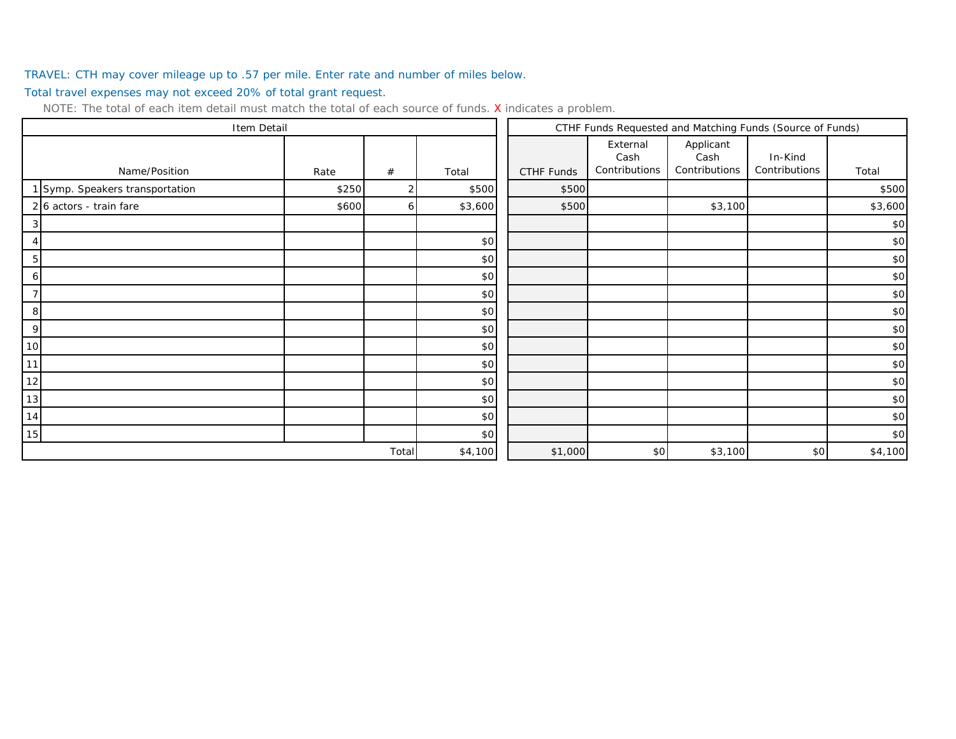## TRAVEL: CTH may cover mileage up to .57 per mile. Enter rate and number of miles below.

Total travel expenses may not exceed 20% of total grant request.

| Item Detail                     |       |       |         | CTHF Funds Requested and Matching Funds (Source of Funds) |                                   |                                    |                          |         |
|---------------------------------|-------|-------|---------|-----------------------------------------------------------|-----------------------------------|------------------------------------|--------------------------|---------|
| Name/Position                   | Rate  | #     | Total   | CTHF Funds                                                | External<br>Cash<br>Contributions | Applicant<br>Cash<br>Contributions | In-Kind<br>Contributions | Total   |
| 1 Symp. Speakers transportation | \$250 |       | \$500   | \$500                                                     |                                   |                                    |                          | \$500   |
| 2 6 actors - train fare         | \$600 | 6     | \$3,600 | \$500                                                     |                                   | \$3,100                            |                          | \$3,600 |
| 3                               |       |       |         |                                                           |                                   |                                    |                          | \$0     |
|                                 |       |       | \$0     |                                                           |                                   |                                    |                          | \$0     |
| 5                               |       |       | \$0     |                                                           |                                   |                                    |                          | \$0     |
| 6                               |       |       | \$0     |                                                           |                                   |                                    |                          | \$0     |
| 7                               |       |       | \$0     |                                                           |                                   |                                    |                          | \$0     |
| 8                               |       |       | \$0     |                                                           |                                   |                                    |                          | \$0     |
| 9                               |       |       | \$0     |                                                           |                                   |                                    |                          | \$0     |
| 10 <sup>1</sup>                 |       |       | \$0     |                                                           |                                   |                                    |                          | \$0     |
| 11                              |       |       | \$0     |                                                           |                                   |                                    |                          | \$0     |
| 12                              |       |       | \$0     |                                                           |                                   |                                    |                          | \$0     |
| 13                              |       |       | \$0     |                                                           |                                   |                                    |                          | \$0     |
| 14                              |       |       | \$0     |                                                           |                                   |                                    |                          | \$0     |
| 15                              |       |       | \$0     |                                                           |                                   |                                    |                          | \$0     |
|                                 |       | Total | \$4,100 | \$1,000                                                   | \$0                               | \$3,100                            | \$0                      | \$4,100 |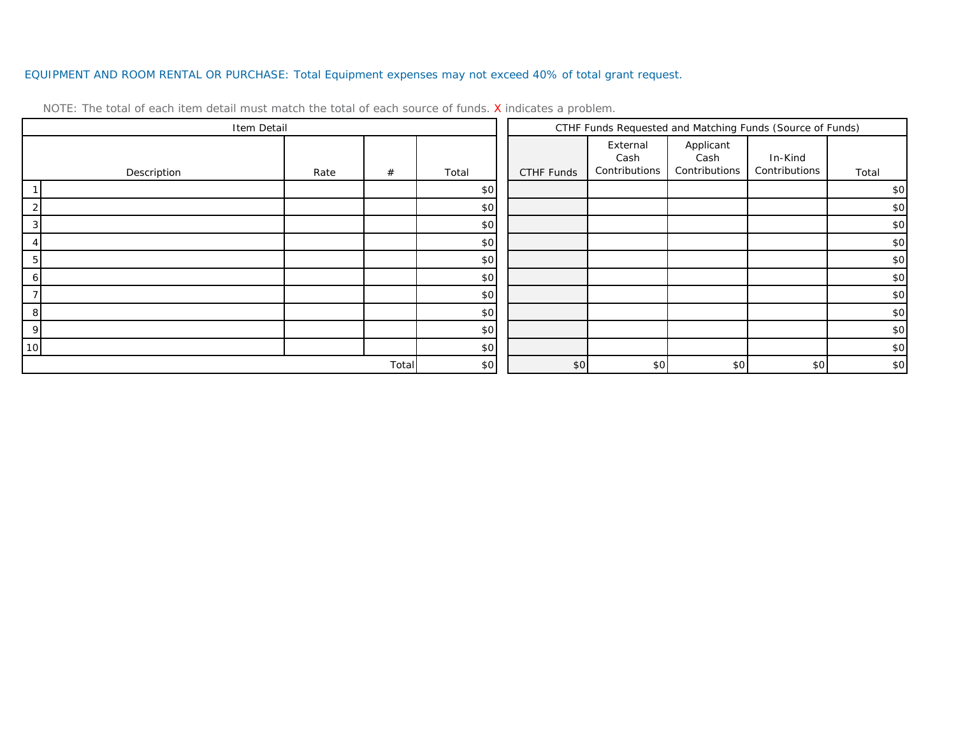## EQUIPMENT AND ROOM RENTAL OR PURCHASE: Total Equipment expenses may not exceed 40% of total grant request.

| Item Detail     |             |      |       |       | CTHF Funds Requested and Matching Funds (Source of Funds) |                                   |                                    |                          |       |
|-----------------|-------------|------|-------|-------|-----------------------------------------------------------|-----------------------------------|------------------------------------|--------------------------|-------|
|                 | Description | Rate | #     | Total | CTHF Funds                                                | External<br>Cash<br>Contributions | Applicant<br>Cash<br>Contributions | In-Kind<br>Contributions | Total |
|                 |             |      |       | \$0   |                                                           |                                   |                                    |                          | \$0   |
|                 |             |      |       | \$0   |                                                           |                                   |                                    |                          | \$0   |
|                 |             |      |       | \$0   |                                                           |                                   |                                    |                          | \$0   |
|                 |             |      |       | \$0   |                                                           |                                   |                                    |                          | \$0   |
|                 |             |      |       | \$0   |                                                           |                                   |                                    |                          | \$0   |
|                 |             |      |       | \$0   |                                                           |                                   |                                    |                          | \$0   |
|                 |             |      |       | \$0   |                                                           |                                   |                                    |                          | \$0   |
| 8               |             |      |       | \$0   |                                                           |                                   |                                    |                          | \$0   |
| Q               |             |      |       | \$0   |                                                           |                                   |                                    |                          | \$0   |
| 10 <sup>1</sup> |             |      |       | \$0   |                                                           |                                   |                                    |                          | \$0   |
|                 |             |      | Total | \$0   | \$0                                                       | \$0                               | \$0                                | \$0                      | \$0   |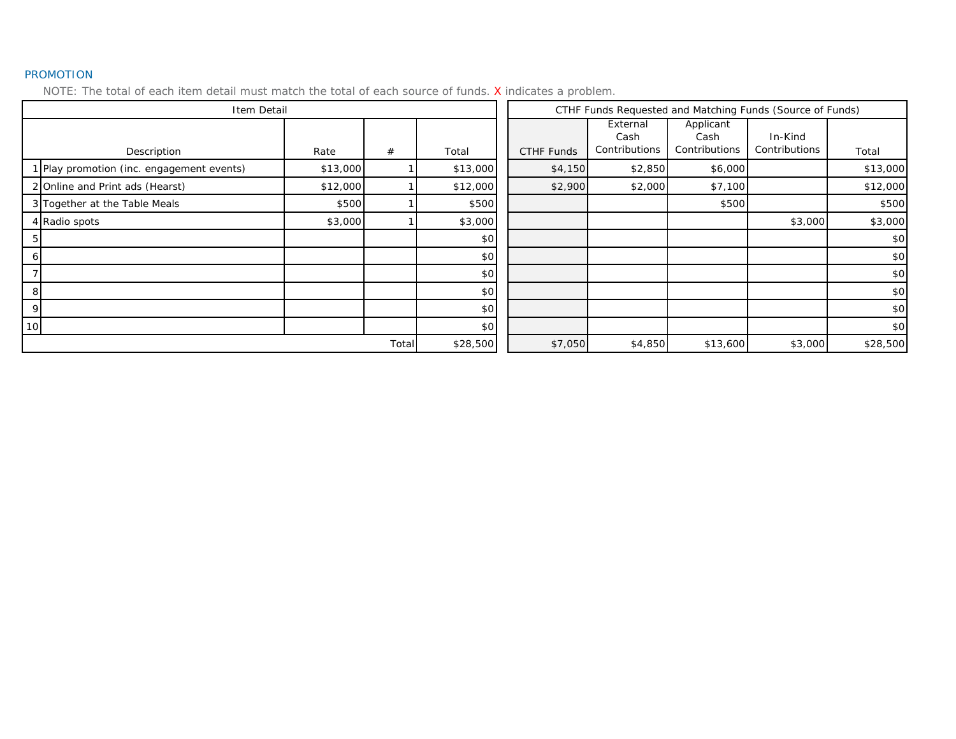#### PROMOTION

|                 | Item Detail                               |          |          |          | CTHF Funds Requested and Matching Funds (Source of Funds) |                                   |                                    |                          |          |
|-----------------|-------------------------------------------|----------|----------|----------|-----------------------------------------------------------|-----------------------------------|------------------------------------|--------------------------|----------|
|                 | Description                               | Rate     | #        | Total    | CTHF Funds                                                | External<br>Cash<br>Contributions | Applicant<br>Cash<br>Contributions | In-Kind<br>Contributions | Total    |
|                 | 1 Play promotion (inc. engagement events) | \$13,000 |          | \$13,000 | \$4,150                                                   | \$2,850                           | \$6,000                            |                          | \$13,000 |
|                 | 2 Online and Print ads (Hearst)           | \$12,000 |          | \$12,000 | \$2,900                                                   | \$2,000                           | \$7,100                            |                          | \$12,000 |
|                 | 3 Together at the Table Meals             | \$500    |          | \$500    |                                                           |                                   | \$500                              |                          | \$500    |
|                 | 4 Radio spots                             | \$3,000  |          | \$3,000  |                                                           |                                   |                                    | \$3,000                  | \$3,000  |
| 5               |                                           |          |          | \$0      |                                                           |                                   |                                    |                          | \$0      |
| ΘI              |                                           |          |          | \$0      |                                                           |                                   |                                    |                          | \$0      |
|                 |                                           |          |          | \$0      |                                                           |                                   |                                    |                          | \$0      |
| 8               |                                           |          |          | \$0      |                                                           |                                   |                                    |                          | \$0      |
| 9               |                                           |          |          | \$0      |                                                           |                                   |                                    |                          | \$0      |
| 10 <sup>1</sup> |                                           |          |          | \$0      |                                                           |                                   |                                    |                          | \$0      |
| Total           |                                           |          | \$28,500 | \$7,050  | \$4,850                                                   | \$13,600                          | \$3,000                            | \$28,500                 |          |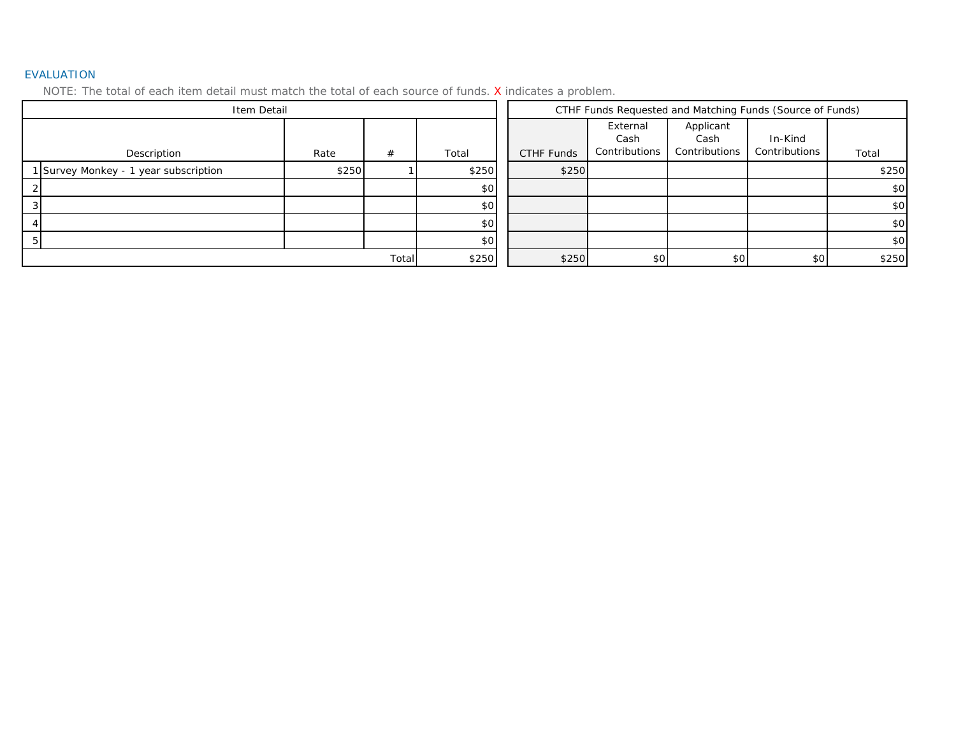#### EVALUATION

| Item Detail                           |                |       |       | CTHF Funds Requested and Matching Funds (Source of Funds) |                                   |                                    |                          |       |
|---------------------------------------|----------------|-------|-------|-----------------------------------------------------------|-----------------------------------|------------------------------------|--------------------------|-------|
| Description                           | Rate           | #     | Total | CTHF Funds                                                | External<br>Cash<br>Contributions | Applicant<br>Cash<br>Contributions | In-Kind<br>Contributions | Total |
| 1 Survey Monkey - 1 year subscription | \$250          |       | \$250 | \$250                                                     |                                   |                                    |                          | \$250 |
|                                       |                |       | \$0   |                                                           |                                   |                                    |                          | \$0   |
|                                       |                |       | \$0   |                                                           |                                   |                                    |                          | \$0   |
|                                       |                |       | \$0   |                                                           |                                   |                                    |                          | \$0   |
|                                       |                |       | \$0   |                                                           |                                   |                                    |                          | \$0   |
|                                       | Total<br>\$250 | \$250 | \$0   | \$0                                                       | -\$01                             | \$250                              |                          |       |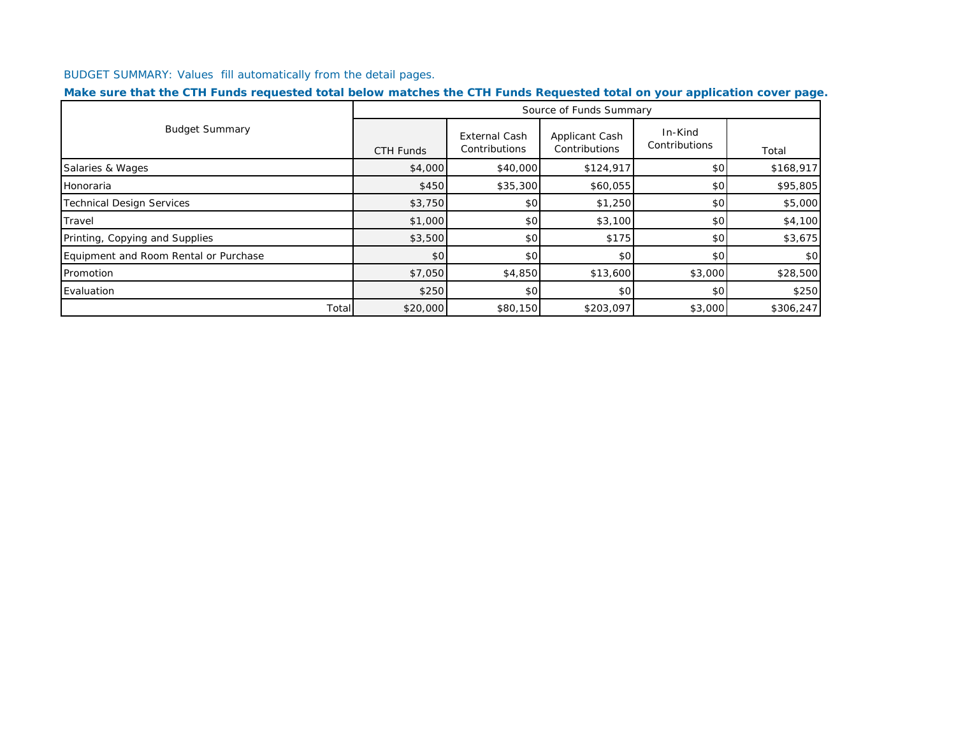BUDGET SUMMARY: Values fill automatically from the detail pages.

| Make sure that the CTH Funds requested total below matches the CTH Funds Requested total on your application cover page. |  |  |  |
|--------------------------------------------------------------------------------------------------------------------------|--|--|--|
|--------------------------------------------------------------------------------------------------------------------------|--|--|--|

|                                       |           |                                       | Source of Funds Summary         |                          |           |
|---------------------------------------|-----------|---------------------------------------|---------------------------------|--------------------------|-----------|
| <b>Budget Summary</b>                 | CTH Funds | <b>External Cash</b><br>Contributions | Applicant Cash<br>Contributions | In-Kind<br>Contributions | Total     |
| Salaries & Wages                      | \$4,000   | \$40,000                              | \$124,917                       | \$0                      | \$168,917 |
| Honoraria                             | \$450     | \$35,300                              | \$60,055                        | \$0                      | \$95,805  |
| <b>Technical Design Services</b>      | \$3,750   | \$0                                   | \$1,250                         | \$0                      | \$5,000   |
| Travel                                | \$1,000   | \$0                                   | \$3,100                         | \$0                      | \$4,100   |
| Printing, Copying and Supplies        | \$3,500   | \$0                                   | \$175                           | \$0                      | \$3,675   |
| Equipment and Room Rental or Purchase | \$0       | \$0                                   | \$0                             | \$0                      | \$0       |
| Promotion                             | \$7,050   | \$4,850                               | \$13,600                        | \$3,000                  | \$28,500  |
| Evaluation                            | \$250     | \$0                                   | \$0                             | \$0                      | \$250     |
| Total                                 | \$20,000  | \$80,150                              | \$203,097                       | \$3,000                  | \$306,247 |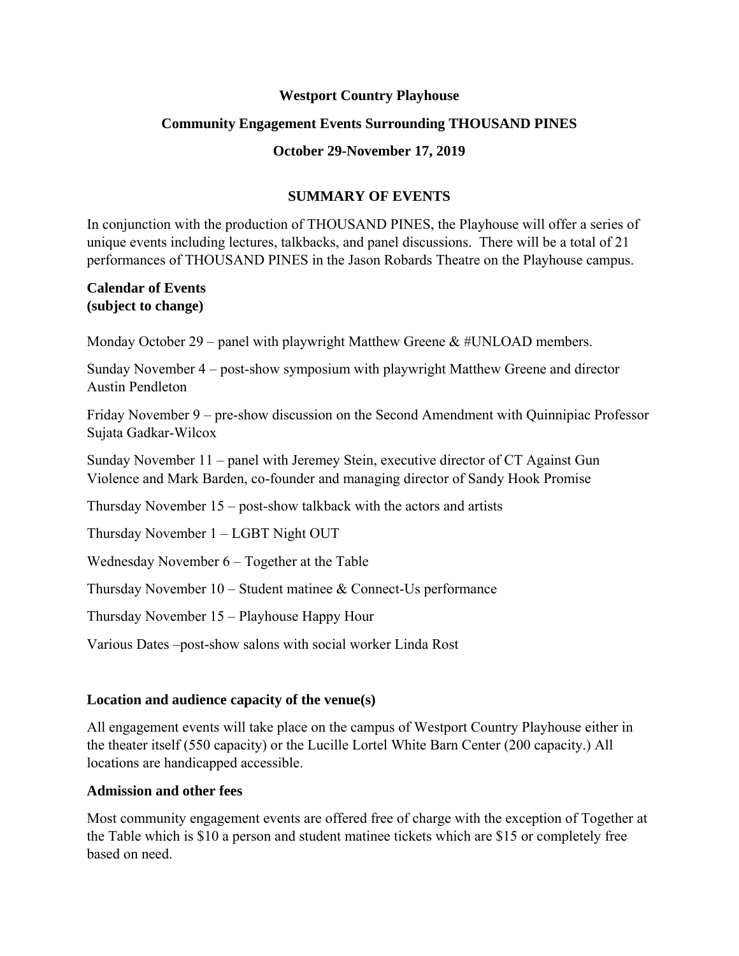## **Westport Country Playhouse**

## **Community Engagement Events Surrounding THOUSAND PINES**

## **October 29-November 17, 2019**

# **SUMMARY OF EVENTS**

In conjunction with the production of THOUSAND PINES, the Playhouse will offer a series of unique events including lectures, talkbacks, and panel discussions. There will be a total of 21 performances of THOUSAND PINES in the Jason Robards Theatre on the Playhouse campus.

## **Calendar of Events (subject to change)**

Monday October 29 – panel with playwright Matthew Greene  $&\#UNLOAD$  members.

Sunday November 4 – post-show symposium with playwright Matthew Greene and director Austin Pendleton

Friday November 9 – pre-show discussion on the Second Amendment with Quinnipiac Professor Sujata Gadkar-Wilcox

Sunday November 11 – panel with Jeremey Stein, executive director of CT Against Gun Violence and Mark Barden, co-founder and managing director of Sandy Hook Promise

Thursday November 15 – post-show talkback with the actors and artists

Thursday November 1 – LGBT Night OUT

Wednesday November 6 – Together at the Table

Thursday November 10 – Student matinee & Connect-Us performance

Thursday November 15 – Playhouse Happy Hour

Various Dates –post-show salons with social worker Linda Rost

# **Location and audience capacity of the venue(s)**

All engagement events will take place on the campus of Westport Country Playhouse either in the theater itself (550 capacity) or the Lucille Lortel White Barn Center (200 capacity.) All locations are handicapped accessible.

## **Admission and other fees**

Most community engagement events are offered free of charge with the exception of Together at the Table which is \$10 a person and student matinee tickets which are \$15 or completely free based on need.